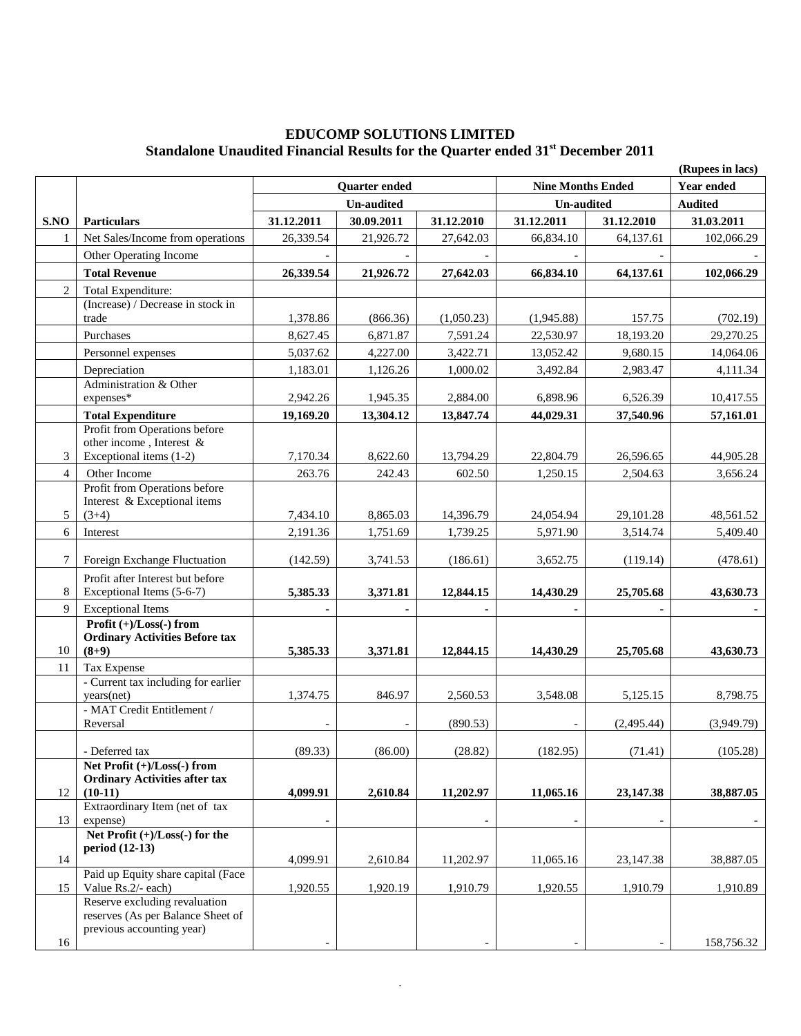## **EDUCOMP SOLUTIONS LIMITED Standalone Unaudited Financial Results for the Quarter ended 31st December 2011**

|                |                                                                    |            | (Rupees in lacs)     |            |                          |                   |            |
|----------------|--------------------------------------------------------------------|------------|----------------------|------------|--------------------------|-------------------|------------|
|                |                                                                    |            | <b>Quarter ended</b> |            | <b>Nine Months Ended</b> | <b>Year ended</b> |            |
|                |                                                                    |            | <b>Un-audited</b>    |            | <b>Un-audited</b>        | <b>Audited</b>    |            |
| S.NO           | <b>Particulars</b>                                                 | 31.12.2011 | 30.09.2011           | 31.12.2010 | 31.12.2011               | 31.12.2010        | 31.03.2011 |
| 1              | Net Sales/Income from operations                                   | 26,339.54  | 21,926.72            | 27,642.03  | 66,834.10                | 64,137.61         | 102,066.29 |
|                | Other Operating Income                                             |            |                      |            |                          |                   |            |
|                | <b>Total Revenue</b>                                               | 26,339.54  | 21,926.72            | 27,642.03  | 66,834.10                | 64,137.61         | 102,066.29 |
| $\overline{2}$ | Total Expenditure:                                                 |            |                      |            |                          |                   |            |
|                | (Increase) / Decrease in stock in                                  |            |                      |            |                          |                   |            |
|                | trade                                                              | 1,378.86   | (866.36)             | (1,050.23) | (1,945.88)               | 157.75            | (702.19)   |
|                | Purchases                                                          | 8,627.45   | 6,871.87             | 7,591.24   | 22,530.97                | 18,193.20         | 29,270.25  |
|                | Personnel expenses                                                 | 5,037.62   | 4,227.00             | 3,422.71   | 13,052.42                | 9,680.15          | 14,064.06  |
|                | Depreciation                                                       | 1,183.01   | 1,126.26             | 1,000.02   | 3,492.84                 | 2,983.47          | 4,111.34   |
|                | Administration & Other                                             |            |                      |            |                          |                   |            |
|                | expenses*                                                          | 2,942.26   | 1,945.35             | 2,884.00   | 6,898.96                 | 6,526.39          | 10,417.55  |
|                | <b>Total Expenditure</b><br>Profit from Operations before          | 19,169.20  | 13,304.12            | 13,847.74  | 44,029.31                | 37,540.96         | 57,161.01  |
|                | other income, Interest &                                           |            |                      |            |                          |                   |            |
| 3              | Exceptional items (1-2)                                            | 7,170.34   | 8,622.60             | 13,794.29  | 22,804.79                | 26,596.65         | 44,905.28  |
| $\overline{4}$ | Other Income                                                       | 263.76     | 242.43               | 602.50     | 1,250.15                 | 2,504.63          | 3,656.24   |
|                | Profit from Operations before                                      |            |                      |            |                          |                   |            |
| 5              | Interest & Exceptional items<br>$(3+4)$                            | 7,434.10   | 8,865.03             | 14,396.79  | 24,054.94                | 29,101.28         | 48,561.52  |
| 6              | Interest                                                           | 2,191.36   | 1,751.69             | 1,739.25   | 5,971.90                 | 3,514.74          | 5,409.40   |
|                |                                                                    |            |                      |            |                          |                   |            |
| 7              | Foreign Exchange Fluctuation                                       | (142.59)   | 3,741.53             | (186.61)   | 3,652.75                 | (119.14)          | (478.61)   |
| 8              | Profit after Interest but before<br>Exceptional Items (5-6-7)      | 5,385.33   | 3,371.81             | 12,844.15  | 14,430.29                | 25,705.68         | 43,630.73  |
| 9              | <b>Exceptional Items</b>                                           |            |                      |            |                          |                   |            |
|                | Profit $(+)/$ Loss $(-)$ from                                      |            |                      |            |                          |                   |            |
|                | <b>Ordinary Activities Before tax</b>                              |            |                      |            |                          |                   |            |
| 10             | $(8+9)$                                                            | 5,385.33   | 3,371.81             | 12,844.15  | 14,430.29                | 25,705.68         | 43,630.73  |
| 11             | Tax Expense                                                        |            |                      |            |                          |                   |            |
|                | - Current tax including for earlier<br>years(net)                  | 1,374.75   | 846.97               | 2,560.53   | 3,548.08                 | 5,125.15          | 8,798.75   |
|                | - MAT Credit Entitlement /                                         |            |                      |            |                          |                   |            |
|                | Reversal                                                           |            |                      | (890.53)   |                          | (2,495.44)        | (3,949.79) |
|                | Deferred tax                                                       | (89.33)    | (86.00)              | (28.82)    | (182.95)                 | (71.41)           | (105.28)   |
|                | Net Profit (+)/Loss(-) from                                        |            |                      |            |                          |                   |            |
| 12             | <b>Ordinary Activities after tax</b><br>$(10-11)$                  | 4,099.91   |                      |            |                          |                   | 38,887.05  |
|                | Extraordinary Item (net of tax                                     |            | 2,610.84             | 11,202.97  | 11,065.16                | 23,147.38         |            |
| 13             | expense)                                                           |            |                      |            |                          |                   |            |
|                | Net Profit $(+)/$ Loss $(-)$ for the<br>period (12-13)             |            |                      |            |                          |                   |            |
| 14             |                                                                    | 4,099.91   | 2,610.84             | 11,202.97  | 11,065.16                | 23, 147. 38       | 38,887.05  |
| 15             | Paid up Equity share capital (Face<br>Value Rs.2/- each)           | 1,920.55   | 1,920.19             | 1,910.79   | 1,920.55                 | 1,910.79          | 1,910.89   |
|                | Reserve excluding revaluation<br>reserves (As per Balance Sheet of |            |                      |            |                          |                   |            |
|                | previous accounting year)                                          |            |                      |            |                          |                   |            |
| 16             |                                                                    |            |                      |            |                          |                   | 158,756.32 |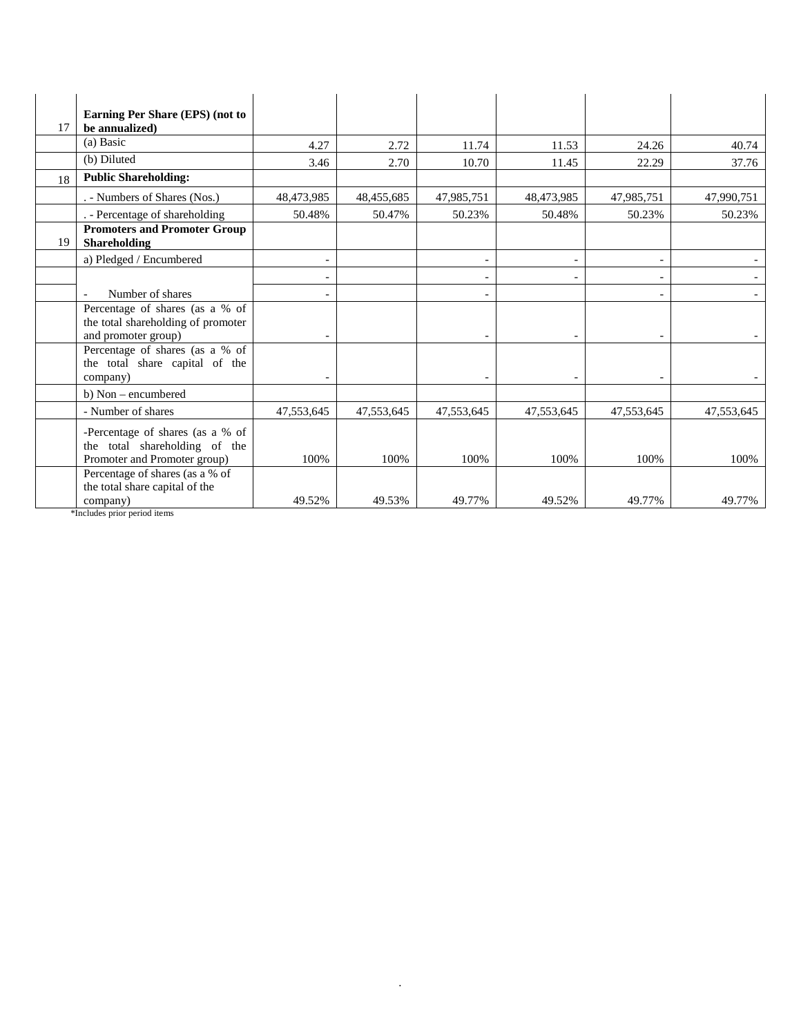| 17 | Earning Per Share (EPS) (not to<br>be annualized)                                                                         |            |            |                          |            |            |            |
|----|---------------------------------------------------------------------------------------------------------------------------|------------|------------|--------------------------|------------|------------|------------|
|    | $(a)$ Basic                                                                                                               | 4.27       | 2.72       | 11.74                    | 11.53      | 24.26      | 40.74      |
|    | (b) Diluted                                                                                                               | 3.46       | 2.70       | 10.70                    | 11.45      | 22.29      | 37.76      |
| 18 | <b>Public Shareholding:</b>                                                                                               |            |            |                          |            |            |            |
|    | . - Numbers of Shares (Nos.)                                                                                              | 48,473,985 | 48,455,685 | 47,985,751               | 48,473,985 | 47,985,751 | 47,990,751 |
|    | . - Percentage of shareholding                                                                                            | 50.48%     | 50.47%     | 50.23%                   | 50.48%     | 50.23%     | 50.23%     |
| 19 | <b>Promoters and Promoter Group</b><br><b>Shareholding</b>                                                                |            |            |                          |            |            |            |
|    | a) Pledged / Encumbered                                                                                                   |            |            |                          |            |            |            |
|    |                                                                                                                           |            |            | $\overline{\phantom{a}}$ |            |            |            |
|    | Number of shares                                                                                                          |            |            |                          |            |            |            |
|    | Percentage of shares (as a % of<br>the total shareholding of promoter<br>and promoter group)                              |            |            | $\overline{\phantom{a}}$ |            |            |            |
|    | Percentage of shares (as a % of<br>the total share capital of the<br>company)                                             |            |            |                          |            |            |            |
|    | b) Non – encumbered                                                                                                       |            |            |                          |            |            |            |
|    | - Number of shares                                                                                                        | 47,553,645 | 47,553,645 | 47.553.645               | 47.553.645 | 47.553.645 | 47.553.645 |
|    | -Percentage of shares (as a % of<br>the total shareholding of the<br>Promoter and Promoter group)                         | 100%       | 100%       | 100%                     | 100%       | 100%       | 100%       |
|    | Percentage of shares (as a % of<br>the total share capital of the<br>company)<br>When the discoveries are a standard to a | 49.52%     | 49.53%     | 49.77%                   | 49.52%     | 49.77%     | 49.77%     |

\*Includes prior period items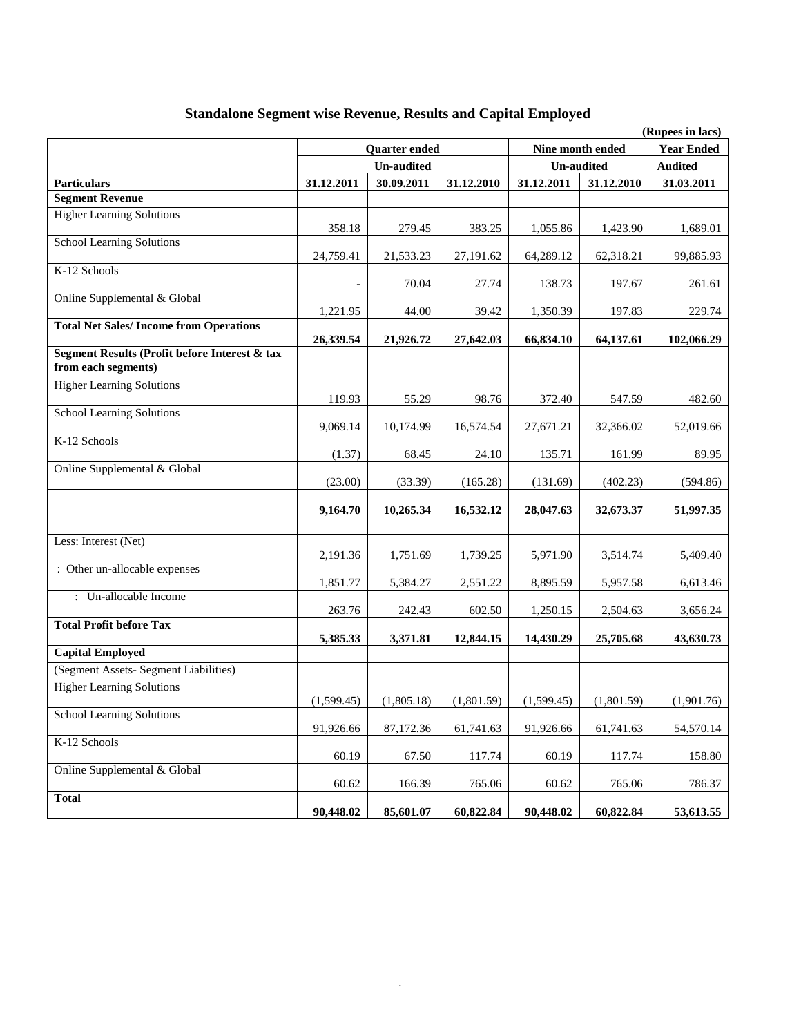| <b>Standalone Segment wise Revenue, Results and Capital Employed</b> |  |
|----------------------------------------------------------------------|--|
|                                                                      |  |

| (Rupees in lacs)                                                     |            |                      |            |                   |                   |            |
|----------------------------------------------------------------------|------------|----------------------|------------|-------------------|-------------------|------------|
|                                                                      |            | <b>Quarter ended</b> |            | Nine month ended  | <b>Year Ended</b> |            |
|                                                                      |            | <b>Un-audited</b>    |            | <b>Un-audited</b> | <b>Audited</b>    |            |
| <b>Particulars</b>                                                   | 31.12.2011 | 30.09.2011           | 31.12.2010 | 31.12.2011        | 31.12.2010        | 31.03.2011 |
| <b>Segment Revenue</b>                                               |            |                      |            |                   |                   |            |
| <b>Higher Learning Solutions</b>                                     | 358.18     | 279.45               | 383.25     | 1,055.86          | 1,423.90          | 1,689.01   |
| <b>School Learning Solutions</b>                                     | 24,759.41  | 21,533.23            | 27,191.62  | 64,289.12         | 62,318.21         | 99,885.93  |
| K-12 Schools                                                         |            | 70.04                | 27.74      | 138.73            | 197.67            | 261.61     |
| Online Supplemental & Global                                         | 1,221.95   | 44.00                | 39.42      | 1,350.39          | 197.83            | 229.74     |
| <b>Total Net Sales/Income from Operations</b>                        | 26,339.54  | 21,926.72            | 27,642.03  | 66,834.10         | 64,137.61         | 102,066.29 |
| Segment Results (Profit before Interest & tax<br>from each segments) |            |                      |            |                   |                   |            |
| <b>Higher Learning Solutions</b>                                     | 119.93     | 55.29                | 98.76      | 372.40            | 547.59            | 482.60     |
| <b>School Learning Solutions</b>                                     | 9,069.14   | 10,174.99            | 16,574.54  | 27,671.21         | 32,366.02         | 52,019.66  |
| K-12 Schools                                                         | (1.37)     | 68.45                | 24.10      | 135.71            | 161.99            | 89.95      |
| Online Supplemental & Global                                         | (23.00)    | (33.39)              | (165.28)   | (131.69)          | (402.23)          | (594.86)   |
|                                                                      | 9,164.70   | 10,265.34            | 16,532.12  | 28,047.63         | 32,673.37         | 51,997.35  |
|                                                                      |            |                      |            |                   |                   |            |
| Less: Interest (Net)                                                 | 2,191.36   | 1,751.69             | 1,739.25   | 5,971.90          | 3,514.74          | 5,409.40   |
| : Other un-allocable expenses                                        | 1,851.77   | 5,384.27             | 2,551.22   | 8,895.59          | 5,957.58          | 6,613.46   |
| : Un-allocable Income                                                | 263.76     | 242.43               | 602.50     | 1,250.15          | 2,504.63          | 3,656.24   |
| <b>Total Profit before Tax</b>                                       | 5,385.33   | 3,371.81             | 12,844.15  | 14,430.29         | 25,705.68         | 43,630.73  |
| <b>Capital Employed</b>                                              |            |                      |            |                   |                   |            |
| (Segment Assets- Segment Liabilities)                                |            |                      |            |                   |                   |            |
| <b>Higher Learning Solutions</b>                                     | (1,599.45) | (1,805.18)           | (1,801.59) | (1,599.45)        | (1,801.59)        | (1,901.76) |
| School Learning Solutions                                            | 91,926.66  | 87,172.36            | 61,741.63  | 91,926.66         | 61,741.63         | 54,570.14  |
| K-12 Schools                                                         | 60.19      | 67.50                | 117.74     | 60.19             | 117.74            | 158.80     |
| Online Supplemental & Global                                         | 60.62      | 166.39               | 765.06     | 60.62             | 765.06            | 786.37     |
| <b>Total</b>                                                         | 90,448.02  | 85,601.07            | 60,822.84  | 90,448.02         | 60,822.84         | 53,613.55  |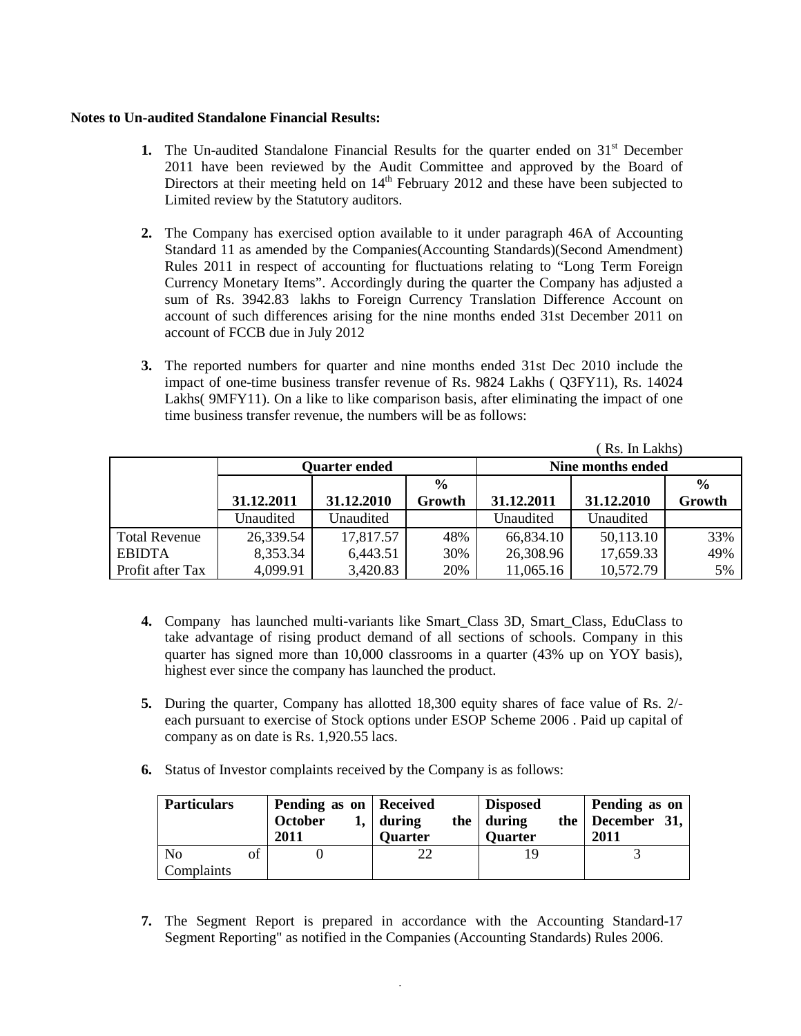## **Notes to Un-audited Standalone Financial Results:**

- **1.** The Un-audited Standalone Financial Results for the quarter ended on  $31<sup>st</sup>$  December 2011 have been reviewed by the Audit Committee and approved by the Board of Directors at their meeting held on 14<sup>th</sup> February 2012 and these have been subjected to Limited review by the Statutory auditors.
- **2.** The Company has exercised option available to it under paragraph 46A of Accounting Standard 11 as amended by the Companies(Accounting Standards)(Second Amendment) Rules 2011 in respect of accounting for fluctuations relating to "Long Term Foreign Currency Monetary Items". Accordingly during the quarter the Company has adjusted a sum of Rs. 3942.83 lakhs to Foreign Currency Translation Difference Account on account of such differences arising for the nine months ended 31st December 2011 on account of FCCB due in July 2012
- **3.** The reported numbers for quarter and nine months ended 31st Dec 2010 include the impact of one-time business transfer revenue of Rs. 9824 Lakhs ( Q3FY11), Rs. 14024 Lakhs( 9MFY11). On a like to like comparison basis, after eliminating the impact of one time business transfer revenue, the numbers will be as follows:

|                      |            |                      |               | (Rs. In Lakhs)           |            |               |  |
|----------------------|------------|----------------------|---------------|--------------------------|------------|---------------|--|
|                      |            | <b>Quarter ended</b> |               | <b>Nine months ended</b> |            |               |  |
|                      |            |                      | $\frac{0}{0}$ |                          |            | $\frac{6}{6}$ |  |
|                      | 31.12.2011 | 31.12.2010           | Growth        | 31.12.2011               | 31.12.2010 | Growth        |  |
|                      | Unaudited  | Unaudited            |               | Unaudited                | Unaudited  |               |  |
| <b>Total Revenue</b> | 26,339.54  | 17,817.57            | 48%           | 66,834.10                | 50,113.10  | 33%           |  |
| <b>EBIDTA</b>        | 8,353.34   | 6,443.51             | 30%           | 26,308.96                | 17,659.33  | 49%           |  |
| Profit after Tax     | 4,099.91   | 3,420.83             | 20%           | 11,065.16                | 10,572.79  | 5%            |  |

- **4.** Company has launched multi-variants like Smart\_Class 3D, Smart\_Class, EduClass to take advantage of rising product demand of all sections of schools. Company in this quarter has signed more than 10,000 classrooms in a quarter (43% up on YOY basis), highest ever since the company has launched the product.
- **5.** During the quarter, Company has allotted 18,300 equity shares of face value of Rs. 2/ each pursuant to exercise of Stock options under ESOP Scheme 2006 . Paid up capital of company as on date is Rs. 1,920.55 lacs.
- **6.** Status of Investor complaints received by the Company is as follows:

| <b>Particulars</b>           |    | Pending as on   Received<br>October<br>2011 | during<br><b>Quarter</b> | <b>Disposed</b><br>the $\vert$ during<br><b>Quarter</b> | Pending as on<br>the   December $31$ ,<br>2011 |
|------------------------------|----|---------------------------------------------|--------------------------|---------------------------------------------------------|------------------------------------------------|
| N <sub>0</sub><br>Complaints | of |                                             | າາ                       | 19                                                      |                                                |

**7.** The Segment Report is prepared in accordance with the Accounting Standard-17 Segment Reporting" as notified in the Companies (Accounting Standards) Rules 2006.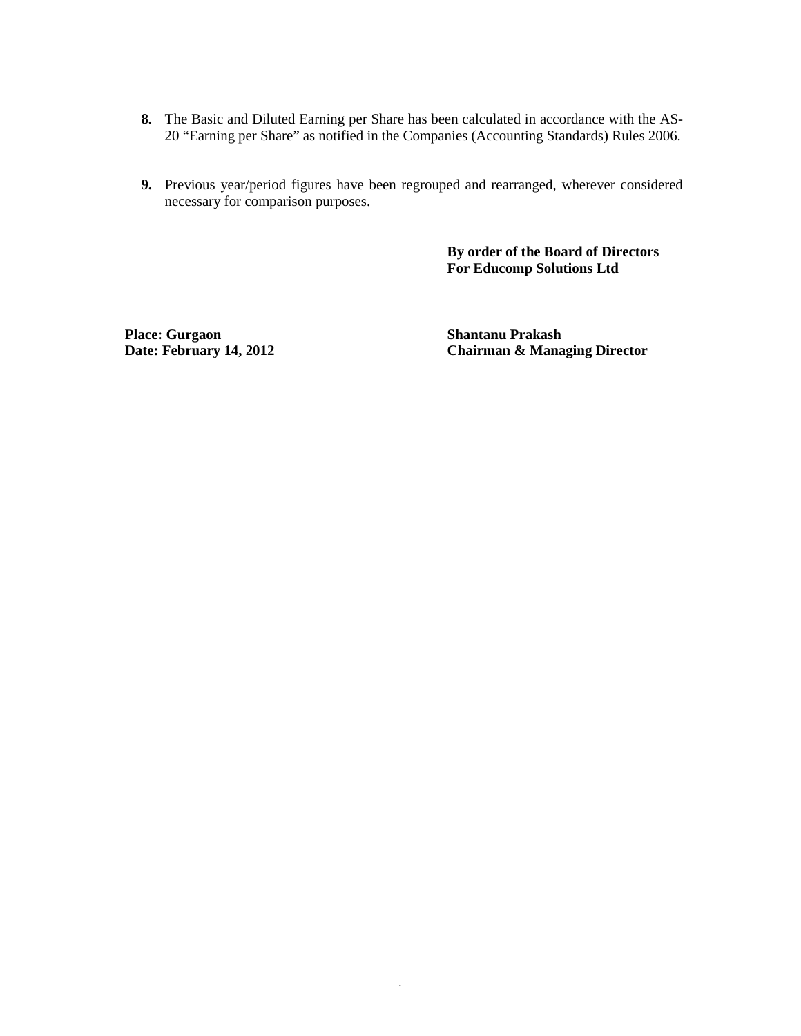- **8.** The Basic and Diluted Earning per Share has been calculated in accordance with the AS-20 "Earning per Share" as notified in the Companies (Accounting Standards) Rules 2006.
- **9.** Previous year/period figures have been regrouped and rearranged, wherever considered necessary for comparison purposes.

**By order of the Board of Directors For Educomp Solutions Ltd**

**Place: Gurgaon Shantanu Prakash**<br> **Date: February 14, 2012 Chairman & Mana** 

**Chairman & Managing Director**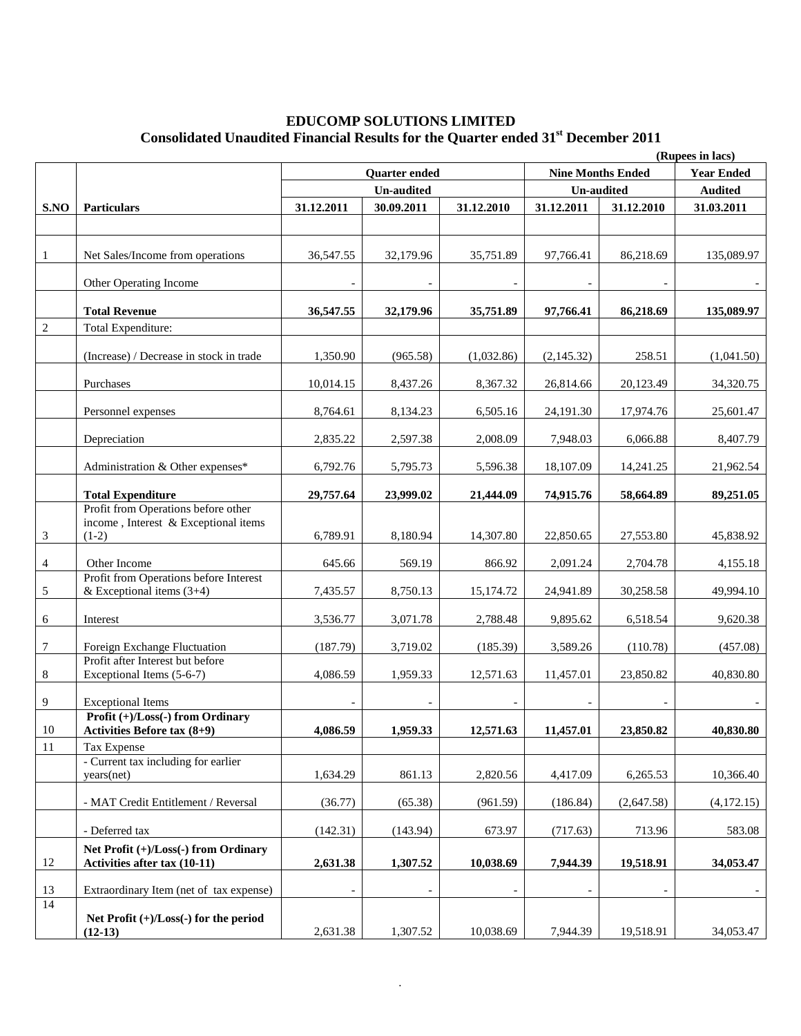## **EDUCOMP SOLUTIONS LIMITED Consolidated Unaudited Financial Results for the Quarter ended 31st December 2011**

|                 |                                                                                        |            |                          |            |                          |                   | (Rupees in lacs) |  |  |
|-----------------|----------------------------------------------------------------------------------------|------------|--------------------------|------------|--------------------------|-------------------|------------------|--|--|
|                 |                                                                                        |            | <b>Quarter ended</b>     |            | <b>Nine Months Ended</b> | <b>Year Ended</b> |                  |  |  |
|                 |                                                                                        |            | <b>Un-audited</b>        |            |                          | <b>Un-audited</b> | <b>Audited</b>   |  |  |
| S.NO            | <b>Particulars</b>                                                                     | 31.12.2011 | 30.09.2011               | 31.12.2010 | 31.12.2011               | 31.12.2010        | 31.03.2011       |  |  |
|                 |                                                                                        |            |                          |            |                          |                   |                  |  |  |
| $\mathbf{1}$    | Net Sales/Income from operations                                                       | 36,547.55  | 32,179.96                | 35,751.89  | 97,766.41                | 86,218.69         | 135,089.97       |  |  |
|                 | Other Operating Income                                                                 |            |                          |            |                          |                   |                  |  |  |
|                 | <b>Total Revenue</b>                                                                   | 36,547.55  | 32,179.96                | 35,751.89  | 97,766.41                | 86,218.69         | 135,089.97       |  |  |
| $\mathbf{2}$    | Total Expenditure:                                                                     |            |                          |            |                          |                   |                  |  |  |
|                 | (Increase) / Decrease in stock in trade                                                | 1,350.90   | (965.58)                 | (1,032.86) | (2,145.32)               | 258.51            | (1,041.50)       |  |  |
|                 | Purchases                                                                              | 10,014.15  | 8,437.26                 | 8,367.32   | 26,814.66                | 20,123.49         | 34,320.75        |  |  |
|                 | Personnel expenses                                                                     | 8,764.61   | 8,134.23                 | 6,505.16   | 24,191.30                | 17,974.76         | 25,601.47        |  |  |
|                 | Depreciation                                                                           | 2,835.22   | 2,597.38                 | 2,008.09   | 7,948.03                 | 6,066.88          | 8,407.79         |  |  |
|                 | Administration & Other expenses*                                                       | 6,792.76   | 5,795.73                 | 5,596.38   | 18,107.09                | 14,241.25         | 21,962.54        |  |  |
|                 | <b>Total Expenditure</b>                                                               | 29,757.64  | 23,999.02                | 21,444.09  | 74,915.76                | 58,664.89         | 89,251.05        |  |  |
| 3               | Profit from Operations before other<br>income, Interest & Exceptional items<br>$(1-2)$ | 6,789.91   | 8,180.94                 | 14,307.80  | 22,850.65                | 27,553.80         | 45,838.92        |  |  |
| $\overline{4}$  | Other Income                                                                           | 645.66     | 569.19                   | 866.92     | 2,091.24                 | 2,704.78          | 4,155.18         |  |  |
| 5               | Profit from Operations before Interest<br>& Exceptional items $(3+4)$                  | 7,435.57   | 8,750.13                 | 15,174.72  | 24,941.89                | 30,258.58         | 49,994.10        |  |  |
| 6               | Interest                                                                               | 3,536.77   | 3,071.78                 | 2,788.48   | 9,895.62                 | 6,518.54          | 9,620.38         |  |  |
| $\tau$          | Foreign Exchange Fluctuation                                                           | (187.79)   | 3,719.02                 | (185.39)   | 3,589.26                 | (110.78)          | (457.08)         |  |  |
| 8               | Profit after Interest but before<br>Exceptional Items (5-6-7)                          | 4,086.59   | 1,959.33                 | 12,571.63  | 11,457.01                | 23,850.82         | 40,830.80        |  |  |
| 9               | <b>Exceptional Items</b>                                                               |            |                          |            |                          |                   |                  |  |  |
| 10              | Profit (+)/Loss(-) from Ordinary<br>Activities Before tax (8+9)                        | 4,086.59   | 1,959.33                 | 12,571.63  | 11,457.01                | 23,850.82         | 40,830.80        |  |  |
| 11              | Tax Expense                                                                            |            |                          |            |                          |                   |                  |  |  |
|                 | - Current tax including for earlier<br>years(net)                                      | 1,634.29   | 861.13                   | 2,820.56   | 4,417.09                 | 6,265.53          | 10,366.40        |  |  |
|                 | - MAT Credit Entitlement / Reversal                                                    | (36.77)    | (65.38)                  | (961.59)   | (186.84)                 | (2,647.58)        | (4,172.15)       |  |  |
|                 | - Deferred tax                                                                         | (142.31)   | (143.94)                 | 673.97     | (717.63)                 | 713.96            | 583.08           |  |  |
| 12              | Net Profit (+)/Loss(-) from Ordinary<br>Activities after tax (10-11)                   | 2,631.38   | 1,307.52                 | 10,038.69  | 7,944.39                 | 19,518.91         | 34,053.47        |  |  |
| 13              | Extraordinary Item (net of tax expense)                                                |            | $\overline{\phantom{a}}$ |            |                          |                   |                  |  |  |
| $\overline{14}$ | Net Profit $(+)/$ Loss $(-)$ for the period<br>$(12-13)$                               | 2,631.38   | 1,307.52                 | 10,038.69  | 7,944.39                 | 19,518.91         | 34,053.47        |  |  |
|                 |                                                                                        |            |                          |            |                          |                   |                  |  |  |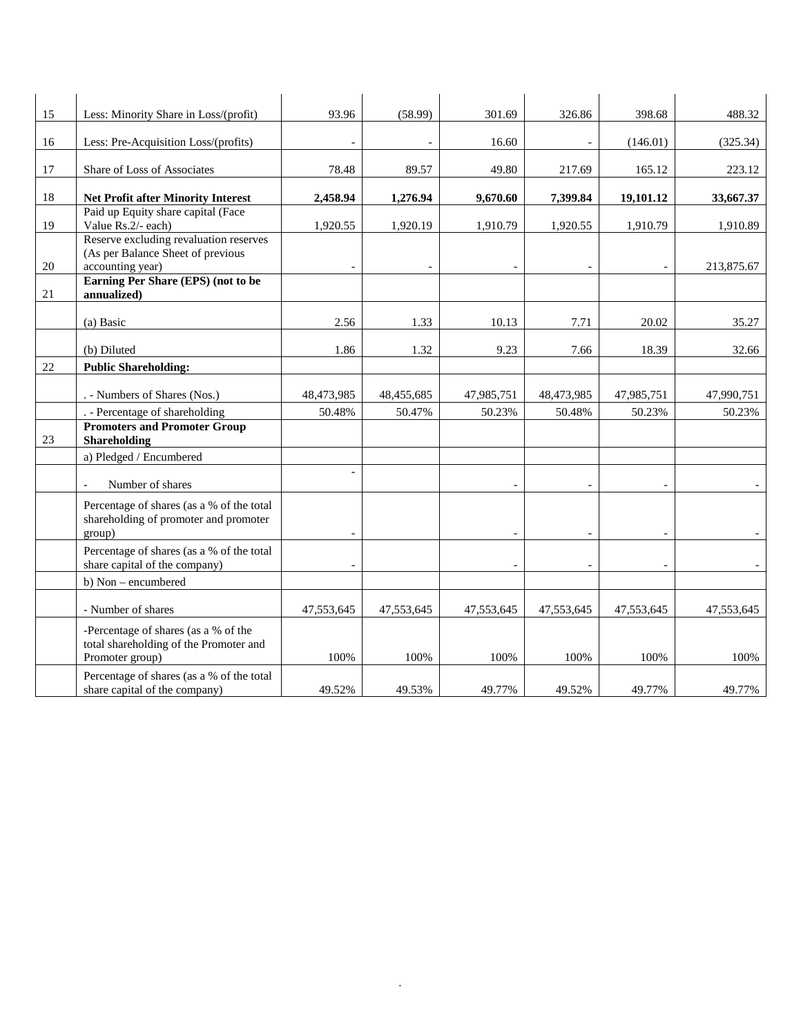| 15     | Less: Minority Share in Loss/(profit)                                      | 93.96                    | (58.99)                  | 301.69     | 326.86     | 398.68                   | 488.32     |
|--------|----------------------------------------------------------------------------|--------------------------|--------------------------|------------|------------|--------------------------|------------|
| 16     |                                                                            |                          |                          |            |            |                          |            |
|        | Less: Pre-Acquisition Loss/(profits)                                       |                          |                          | 16.60      |            | (146.01)                 | (325.34)   |
| 17     | Share of Loss of Associates                                                | 78.48                    | 89.57                    | 49.80      | 217.69     | 165.12                   | 223.12     |
| $18\,$ | <b>Net Profit after Minority Interest</b>                                  | 2,458.94                 | 1,276.94                 | 9,670.60   | 7,399.84   | 19,101.12                | 33,667.37  |
|        | Paid up Equity share capital (Face                                         |                          |                          |            |            |                          |            |
| 19     | Value Rs.2/- each)                                                         | 1,920.55                 | 1,920.19                 | 1,910.79   | 1,920.55   | 1,910.79                 | 1,910.89   |
|        | Reserve excluding revaluation reserves                                     |                          |                          |            |            |                          |            |
|        | (As per Balance Sheet of previous                                          |                          |                          |            |            |                          |            |
| 20     | accounting year)                                                           | $\overline{\phantom{a}}$ | $\overline{\phantom{a}}$ |            |            | $\overline{\phantom{a}}$ | 213,875.67 |
| 21     | Earning Per Share (EPS) (not to be<br>annualized)                          |                          |                          |            |            |                          |            |
|        |                                                                            |                          |                          |            |            |                          |            |
|        | (a) Basic                                                                  | 2.56                     | 1.33                     | 10.13      | 7.71       | 20.02                    | 35.27      |
|        |                                                                            |                          |                          |            |            |                          |            |
|        | (b) Diluted                                                                | 1.86                     | 1.32                     | 9.23       | 7.66       | 18.39                    | 32.66      |
| 22     | <b>Public Shareholding:</b>                                                |                          |                          |            |            |                          |            |
|        |                                                                            |                          |                          |            |            |                          |            |
|        | . - Numbers of Shares (Nos.)                                               | 48,473,985               | 48,455,685               | 47,985,751 | 48,473,985 | 47,985,751               | 47,990,751 |
|        | . - Percentage of shareholding                                             | 50.48%                   | 50.47%                   | 50.23%     | 50.48%     | 50.23%                   | 50.23%     |
|        | <b>Promoters and Promoter Group</b>                                        |                          |                          |            |            |                          |            |
| 23     | <b>Shareholding</b>                                                        |                          |                          |            |            |                          |            |
|        | a) Pledged / Encumbered                                                    |                          |                          |            |            |                          |            |
|        |                                                                            |                          |                          |            |            |                          |            |
|        | Number of shares<br>$\overline{a}$                                         |                          |                          |            |            |                          |            |
|        | Percentage of shares (as a % of the total                                  |                          |                          |            |            |                          |            |
|        | shareholding of promoter and promoter                                      |                          |                          |            |            |                          |            |
|        | group)                                                                     | $\overline{\phantom{a}}$ |                          |            |            | $\overline{\phantom{a}}$ |            |
|        |                                                                            |                          |                          |            |            |                          |            |
|        | Percentage of shares (as a % of the total<br>share capital of the company) | $\overline{a}$           |                          |            |            | $\overline{a}$           |            |
|        |                                                                            |                          |                          |            |            |                          |            |
|        | b) Non – encumbered                                                        |                          |                          |            |            |                          |            |
|        | - Number of shares                                                         | 47,553,645               | 47,553,645               | 47,553,645 | 47,553,645 | 47,553,645               | 47,553,645 |
|        |                                                                            |                          |                          |            |            |                          |            |
|        | -Percentage of shares (as a % of the                                       |                          |                          |            |            |                          |            |
|        | total shareholding of the Promoter and                                     |                          |                          |            |            |                          |            |
|        | Promoter group)                                                            | 100%                     | 100%                     | 100%       | 100%       | 100%                     | 100%       |
|        | Percentage of shares (as a % of the total                                  |                          |                          |            |            |                          |            |
|        | share capital of the company)                                              | 49.52%                   | 49.53%                   | 49.77%     | 49.52%     | 49.77%                   | 49.77%     |

.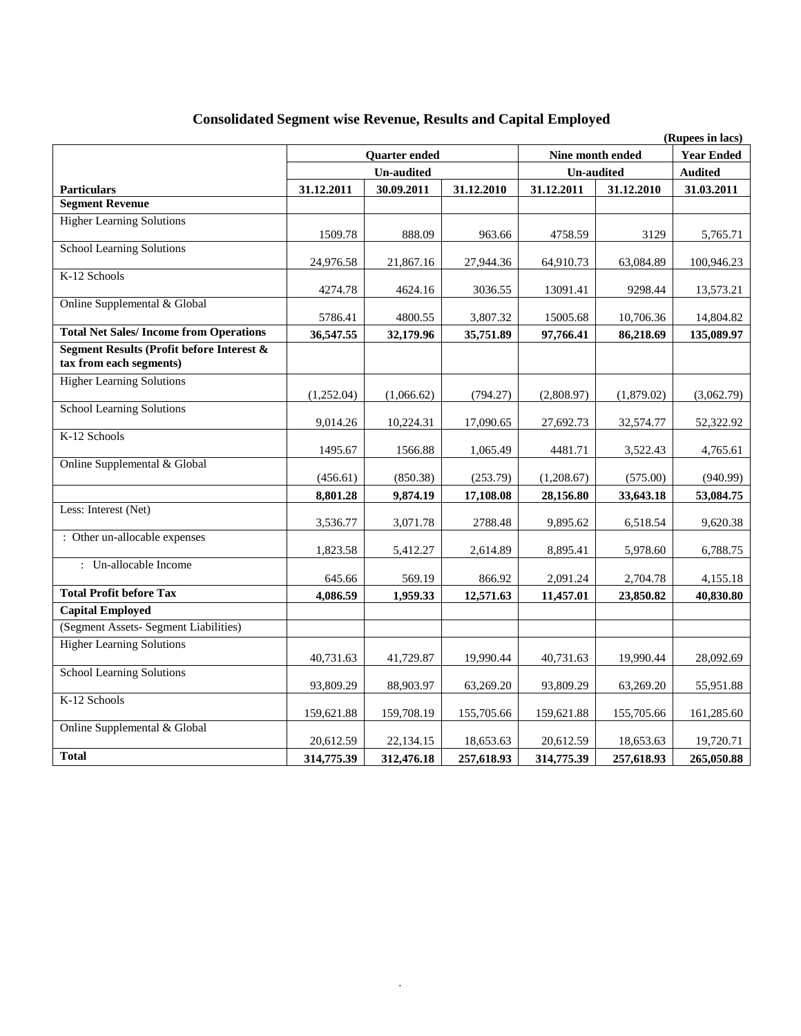| <b>Consolidated Segment wise Revenue, Results and Capital Employed</b> |  |
|------------------------------------------------------------------------|--|
|                                                                        |  |

|                                                                      |                                           |            |            |                   |                                     | (Rupees in lacs) |
|----------------------------------------------------------------------|-------------------------------------------|------------|------------|-------------------|-------------------------------------|------------------|
|                                                                      | <b>Quarter</b> ended<br><b>Un-audited</b> |            |            | Nine month ended  | <b>Year Ended</b><br><b>Audited</b> |                  |
|                                                                      |                                           |            |            | <b>Un-audited</b> |                                     |                  |
| <b>Particulars</b>                                                   | 31.12.2011                                | 30.09.2011 | 31.12.2010 | 31.12.2011        | 31.12.2010                          | 31.03.2011       |
| <b>Segment Revenue</b>                                               |                                           |            |            |                   |                                     |                  |
| <b>Higher Learning Solutions</b>                                     | 1509.78                                   | 888.09     | 963.66     | 4758.59           | 3129                                | 5,765.71         |
| <b>School Learning Solutions</b>                                     | 24,976.58                                 | 21,867.16  | 27,944.36  | 64,910.73         | 63,084.89                           | 100,946.23       |
| K-12 Schools                                                         | 4274.78                                   | 4624.16    | 3036.55    | 13091.41          | 9298.44                             | 13,573.21        |
| Online Supplemental & Global                                         | 5786.41                                   | 4800.55    | 3,807.32   | 15005.68          | 10,706.36                           | 14,804.82        |
| <b>Total Net Sales/Income from Operations</b>                        | 36,547.55                                 | 32,179.96  | 35,751.89  | 97,766.41         | 86,218.69                           | 135,089.97       |
| Segment Results (Profit before Interest &<br>tax from each segments) |                                           |            |            |                   |                                     |                  |
| <b>Higher Learning Solutions</b>                                     | (1,252.04)                                | (1,066.62) | (794.27)   | (2,808.97)        | (1,879.02)                          | (3,062.79)       |
| <b>School Learning Solutions</b>                                     | 9,014.26                                  | 10,224.31  | 17,090.65  | 27,692.73         | 32,574.77                           | 52,322.92        |
| K-12 Schools                                                         | 1495.67                                   | 1566.88    | 1,065.49   | 4481.71           | 3,522.43                            | 4,765.61         |
| Online Supplemental & Global                                         | (456.61)                                  | (850.38)   | (253.79)   | (1,208.67)        | (575.00)                            | (940.99)         |
|                                                                      | 8,801.28                                  | 9,874.19   | 17,108.08  | 28,156.80         | 33,643.18                           | 53,084.75        |
| Less: Interest (Net)                                                 | 3,536.77                                  | 3,071.78   | 2788.48    | 9,895.62          | 6,518.54                            | 9,620.38         |
| : Other un-allocable expenses                                        | 1,823.58                                  | 5,412.27   | 2,614.89   | 8,895.41          | 5,978.60                            | 6,788.75         |
| : Un-allocable Income                                                | 645.66                                    | 569.19     | 866.92     | 2,091.24          | 2,704.78                            | 4,155.18         |
| <b>Total Profit before Tax</b>                                       | 4,086.59                                  | 1,959.33   | 12,571.63  | 11,457.01         | 23,850.82                           | 40,830.80        |
| <b>Capital Employed</b>                                              |                                           |            |            |                   |                                     |                  |
| (Segment Assets- Segment Liabilities)                                |                                           |            |            |                   |                                     |                  |
| <b>Higher Learning Solutions</b>                                     | 40,731.63                                 | 41,729.87  | 19,990.44  | 40,731.63         | 19,990.44                           | 28,092.69        |
| <b>School Learning Solutions</b>                                     | 93,809.29                                 | 88,903.97  | 63,269.20  | 93,809.29         | 63,269.20                           | 55,951.88        |
| K-12 Schools                                                         | 159,621.88                                | 159,708.19 | 155,705.66 | 159,621.88        | 155,705.66                          | 161,285.60       |
| Online Supplemental & Global                                         | 20,612.59                                 | 22,134.15  | 18,653.63  | 20,612.59         | 18,653.63                           | 19,720.71        |
| <b>Total</b>                                                         | 314,775.39                                | 312,476.18 | 257,618.93 | 314,775.39        | 257,618.93                          | 265,050.88       |

.